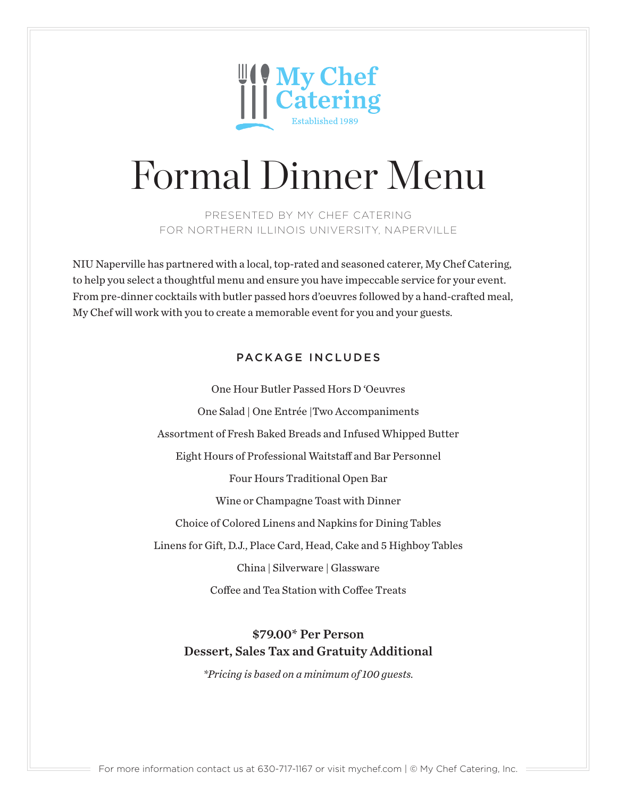

PRESENTED BY MY CHEF CATERING FOR NORTHERN ILLINOIS UNIVERSITY, NAPERVILLE

NIU Naperville has partnered with a local, top-rated and seasoned caterer, My Chef Catering, to help you select a thoughtful menu and ensure you have impeccable service for your event. From pre-dinner cocktails with butler passed hors d'oeuvres followed by a hand-crafted meal, My Chef will work with you to create a memorable event for you and your guests.

# PACKAGE INCLUDES

One Hour Butler Passed Hors D 'Oeuvres One Salad | One Entrée |Two Accompaniments Assortment of Fresh Baked Breads and Infused Whipped Butter Eight Hours of Professional Waitstaff and Bar Personnel Four Hours Traditional Open Bar Wine or Champagne Toast with Dinner Choice of Colored Linens and Napkins for Dining Tables Linens for Gift, D.J., Place Card, Head, Cake and 5 Highboy Tables China | Silverware | Glassware Coffee and Tea Station with Coffee Treats

# \$79.00\* Per Person Dessert, Sales Tax and Gratuity Additional

*\*Pricing is based on a minimum of 100 guests.*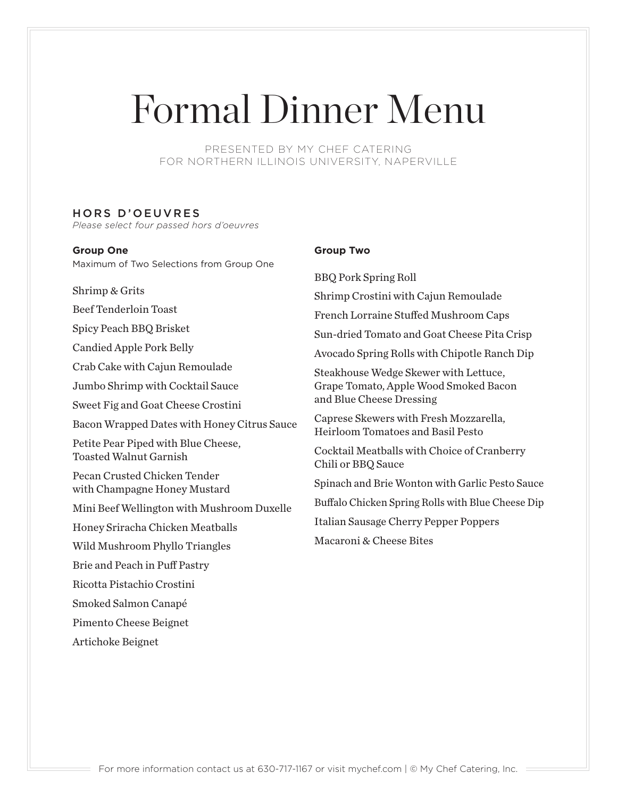PRESENTED BY MY CHEF CATERING FOR NORTHERN ILLINOIS UNIVERSITY, NAPERVILLE

#### HORS D'OEUVRES

*Please select four passed hors d'oeuvres*

#### **Group One**

Maximum of Two Selections from Group One

Shrimp & Grits

Beef Tenderloin Toast

Spicy Peach BBQ Brisket

Candied Apple Pork Belly

Crab Cake with Cajun Remoulade

Jumbo Shrimp with Cocktail Sauce

Sweet Fig and Goat Cheese Crostini

Bacon Wrapped Dates with Honey Citrus Sauce

Petite Pear Piped with Blue Cheese, Toasted Walnut Garnish

Pecan Crusted Chicken Tender with Champagne Honey Mustard

Mini Beef Wellington with Mushroom Duxelle

Honey Sriracha Chicken Meatballs

Wild Mushroom Phyllo Triangles

Brie and Peach in Puff Pastry

Ricotta Pistachio Crostini

Smoked Salmon Canapé

Pimento Cheese Beignet

Artichoke Beignet

#### **Group Two**

BBQ Pork Spring Roll Shrimp Crostini with Cajun Remoulade French Lorraine Stuffed Mushroom Caps Sun-dried Tomato and Goat Cheese Pita Crisp Avocado Spring Rolls with Chipotle Ranch Dip Steakhouse Wedge Skewer with Lettuce, Grape Tomato, Apple Wood Smoked Bacon and Blue Cheese Dressing Caprese Skewers with Fresh Mozzarella, Heirloom Tomatoes and Basil Pesto Cocktail Meatballs with Choice of Cranberry Chili or BBQ Sauce Spinach and Brie Wonton with Garlic Pesto Sauce Buffalo Chicken Spring Rolls with Blue Cheese Dip Italian Sausage Cherry Pepper Poppers Macaroni & Cheese Bites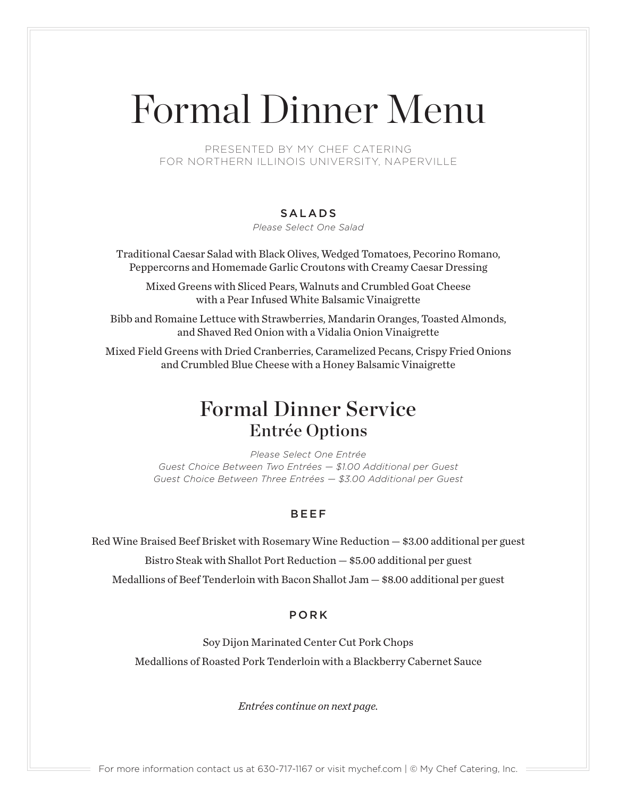PRESENTED BY MY CHEF CATERING FOR NORTHERN ILLINOIS UNIVERSITY, NAPERVILLE

### SALADS

*Please Select One Salad*

Traditional Caesar Salad with Black Olives, Wedged Tomatoes, Pecorino Romano, Peppercorns and Homemade Garlic Croutons with Creamy Caesar Dressing

Mixed Greens with Sliced Pears, Walnuts and Crumbled Goat Cheese with a Pear Infused White Balsamic Vinaigrette

Bibb and Romaine Lettuce with Strawberries, Mandarin Oranges, Toasted Almonds, and Shaved Red Onion with a Vidalia Onion Vinaigrette

Mixed Field Greens with Dried Cranberries, Caramelized Pecans, Crispy Fried Onions and Crumbled Blue Cheese with a Honey Balsamic Vinaigrette

# Formal Dinner Service Entrée Options

*Please Select One Entrée Guest Choice Between Two Entrées — \$1.00 Additional per Guest Guest Choice Between Three Entrées — \$3.00 Additional per Guest*

### BEEF

Red Wine Braised Beef Brisket with Rosemary Wine Reduction — \$3.00 additional per guest

Bistro Steak with Shallot Port Reduction — \$5.00 additional per guest

Medallions of Beef Tenderloin with Bacon Shallot Jam — \$8.00 additional per guest

### PORK

Soy Dijon Marinated Center Cut Pork Chops Medallions of Roasted Pork Tenderloin with a Blackberry Cabernet Sauce

*Entrées continue on next page.*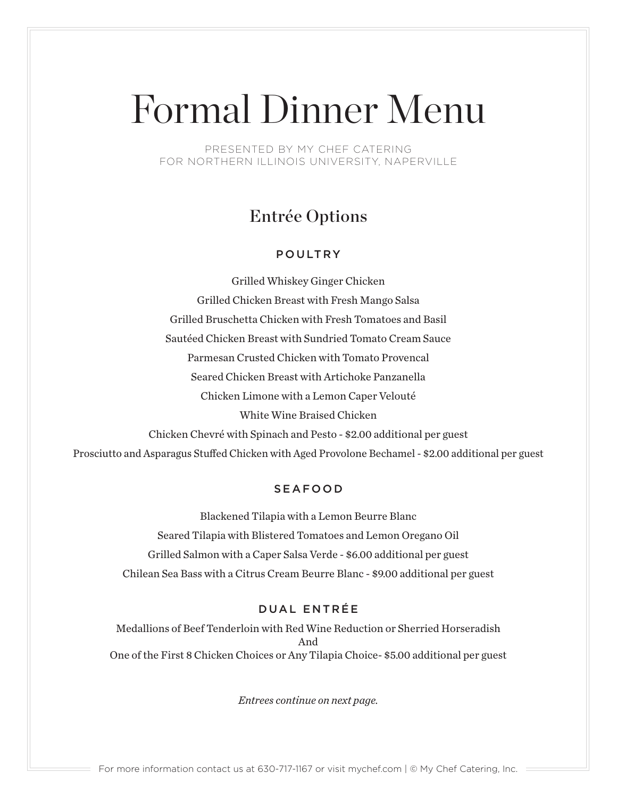PRESENTED BY MY CHEF CATERING FOR NORTHERN ILLINOIS UNIVERSITY, NAPERVILLE

# Entrée Options

## POULTRY

Grilled Whiskey Ginger Chicken Grilled Chicken Breast with Fresh Mango Salsa Grilled Bruschetta Chicken with Fresh Tomatoes and Basil Sautéed Chicken Breast with Sundried Tomato Cream Sauce Parmesan Crusted Chicken with Tomato Provencal Seared Chicken Breast with Artichoke Panzanella Chicken Limone with a Lemon Caper Velouté White Wine Braised Chicken Chicken Chevré with Spinach and Pesto - \$2.00 additional per guest Prosciutto and Asparagus Stuffed Chicken with Aged Provolone Bechamel - \$2.00 additional per guest

## SEAFOOD

Blackened Tilapia with a Lemon Beurre Blanc Seared Tilapia with Blistered Tomatoes and Lemon Oregano Oil Grilled Salmon with a Caper Salsa Verde - \$6.00 additional per guest Chilean Sea Bass with a Citrus Cream Beurre Blanc - \$9.00 additional per guest

## DUAL ENTRÉE

Medallions of Beef Tenderloin with Red Wine Reduction or Sherried Horseradish And One of the First 8 Chicken Choices or Any Tilapia Choice- \$5.00 additional per guest

*Entrees continue on next page.*